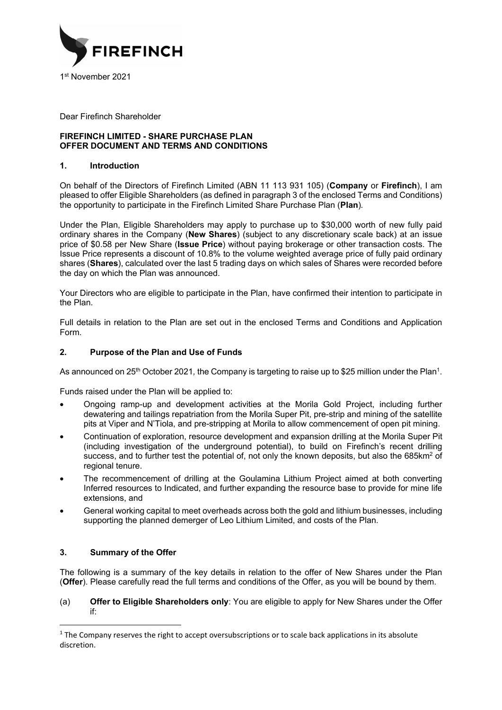

Dear Firefinch Shareholder

# **FIREFINCH LIMITED - SHARE PURCHASE PLAN OFFER DOCUMENT AND TERMS AND CONDITIONS**

# **1. Introduction**

On behalf of the Directors of Firefinch Limited (ABN 11 113 931 105) (**Company** or **Firefinch**), I am pleased to offer Eligible Shareholders (as defined in paragraph 3 of the enclosed Terms and Conditions) the opportunity to participate in the Firefinch Limited Share Purchase Plan (**Plan**)*.* 

Under the Plan, Eligible Shareholders may apply to purchase up to \$30,000 worth of new fully paid ordinary shares in the Company (**New Shares**) (subject to any discretionary scale back) at an issue price of \$0.58 per New Share (**Issue Price**) without paying brokerage or other transaction costs. The Issue Price represents a discount of 10.8% to the volume weighted average price of fully paid ordinary shares (**Shares**), calculated over the last 5 trading days on which sales of Shares were recorded before the day on which the Plan was announced.

Your Directors who are eligible to participate in the Plan, have confirmed their intention to participate in the Plan.

Full details in relation to the Plan are set out in the enclosed Terms and Conditions and Application Form.

# **2. Purpose of the Plan and Use of Funds**

As announced on 25<sup>th</sup> October 2021, the Company is targeting to raise up to \$25 million under the Plan<sup>1</sup>.

Funds raised under the Plan will be applied to:

- Ongoing ramp-up and development activities at the Morila Gold Project, including further dewatering and tailings repatriation from the Morila Super Pit, pre-strip and mining of the satellite pits at Viper and N'Tiola, and pre-stripping at Morila to allow commencement of open pit mining.
- Continuation of exploration, resource development and expansion drilling at the Morila Super Pit (including investigation of the underground potential), to build on Firefinch's recent drilling success, and to further test the potential of, not only the known deposits, but also the 685km<sup>2</sup> of regional tenure.
- The recommencement of drilling at the Goulamina Lithium Project aimed at both converting Inferred resources to Indicated, and further expanding the resource base to provide for mine life extensions, and
- General working capital to meet overheads across both the gold and lithium businesses, including supporting the planned demerger of Leo Lithium Limited, and costs of the Plan.

# **3. Summary of the Offer**

The following is a summary of the key details in relation to the offer of New Shares under the Plan (**Offer**). Please carefully read the full terms and conditions of the Offer, as you will be bound by them.

(a) **Offer to Eligible Shareholders only**: You are eligible to apply for New Shares under the Offer if:

 $<sup>1</sup>$  The Company reserves the right to accept oversubscriptions or to scale back applications in its absolute</sup> discretion.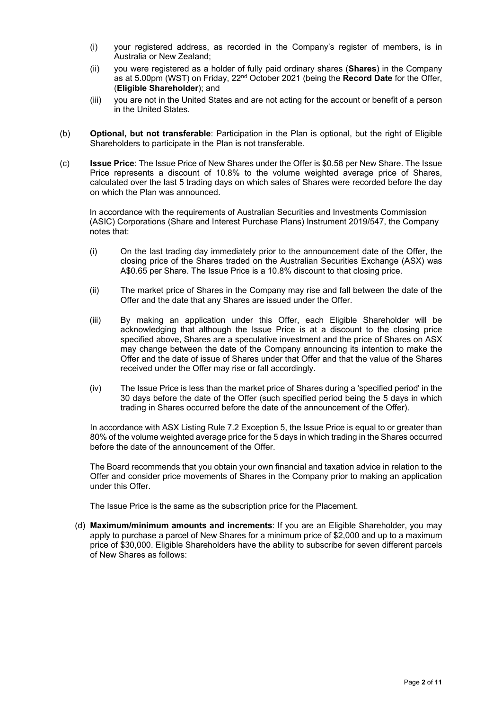- (i) your registered address, as recorded in the Company's register of members, is in Australia or New Zealand;
- (ii) you were registered as a holder of fully paid ordinary shares (**Shares**) in the Company as at 5.00pm (WST) on Friday, 22nd October 2021 (being the **Record Date** for the Offer, (**Eligible Shareholder**); and
- (iii) you are not in the United States and are not acting for the account or benefit of a person in the United States.
- (b) **Optional, but not transferable**: Participation in the Plan is optional, but the right of Eligible Shareholders to participate in the Plan is not transferable.
- (c) **Issue Price**: The Issue Price of New Shares under the Offer is \$0.58 per New Share. The Issue Price represents a discount of 10.8% to the volume weighted average price of Shares, calculated over the last 5 trading days on which sales of Shares were recorded before the day on which the Plan was announced.

In accordance with the requirements of Australian Securities and Investments Commission (ASIC) Corporations (Share and Interest Purchase Plans) Instrument 2019/547, the Company notes that:

- (i) On the last trading day immediately prior to the announcement date of the Offer, the closing price of the Shares traded on the Australian Securities Exchange (ASX) was A\$0.65 per Share. The Issue Price is a 10.8% discount to that closing price.
- (ii) The market price of Shares in the Company may rise and fall between the date of the Offer and the date that any Shares are issued under the Offer.
- (iii) By making an application under this Offer, each Eligible Shareholder will be acknowledging that although the Issue Price is at a discount to the closing price specified above, Shares are a speculative investment and the price of Shares on ASX may change between the date of the Company announcing its intention to make the Offer and the date of issue of Shares under that Offer and that the value of the Shares received under the Offer may rise or fall accordingly.
- (iv) The Issue Price is less than the market price of Shares during a 'specified period' in the 30 days before the date of the Offer (such specified period being the 5 days in which trading in Shares occurred before the date of the announcement of the Offer).

In accordance with ASX Listing Rule 7.2 Exception 5, the Issue Price is equal to or greater than 80% of the volume weighted average price for the 5 days in which trading in the Shares occurred before the date of the announcement of the Offer.

The Board recommends that you obtain your own financial and taxation advice in relation to the Offer and consider price movements of Shares in the Company prior to making an application under this Offer.

The Issue Price is the same as the subscription price for the Placement.

(d) **Maximum/minimum amounts and increments**: If you are an Eligible Shareholder, you may apply to purchase a parcel of New Shares for a minimum price of \$2,000 and up to a maximum price of \$30,000. Eligible Shareholders have the ability to subscribe for seven different parcels of New Shares as follows: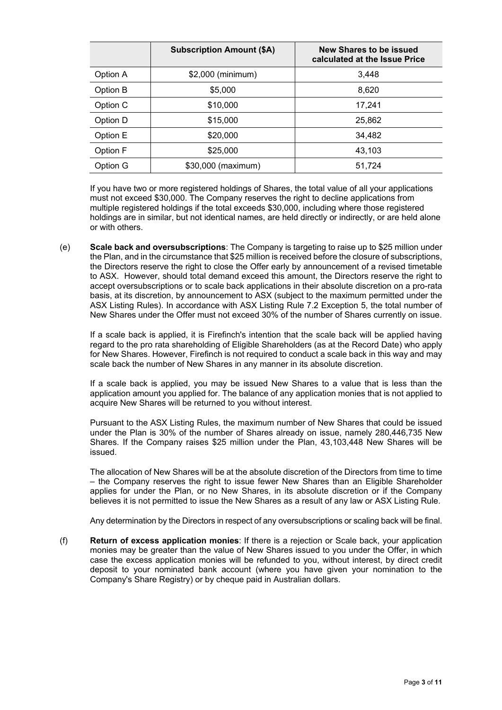|          | <b>Subscription Amount (\$A)</b> | New Shares to be issued<br>calculated at the Issue Price |  |  |
|----------|----------------------------------|----------------------------------------------------------|--|--|
| Option A | \$2,000 (minimum)                | 3,448                                                    |  |  |
| Option B | \$5,000                          | 8,620                                                    |  |  |
| Option C | \$10,000                         | 17,241                                                   |  |  |
| Option D | \$15,000                         | 25,862                                                   |  |  |
| Option E | \$20,000                         | 34,482                                                   |  |  |
| Option F | \$25,000                         | 43,103                                                   |  |  |
| Option G | \$30,000 (maximum)               | 51,724                                                   |  |  |

If you have two or more registered holdings of Shares, the total value of all your applications must not exceed \$30,000. The Company reserves the right to decline applications from multiple registered holdings if the total exceeds \$30,000, including where those registered holdings are in similar, but not identical names, are held directly or indirectly, or are held alone or with others.

(e) **Scale back and oversubscriptions**: The Company is targeting to raise up to \$25 million under the Plan, and in the circumstance that \$25 million is received before the closure of subscriptions, the Directors reserve the right to close the Offer early by announcement of a revised timetable to ASX. However, should total demand exceed this amount, the Directors reserve the right to accept oversubscriptions or to scale back applications in their absolute discretion on a pro-rata basis, at its discretion, by announcement to ASX (subject to the maximum permitted under the ASX Listing Rules). In accordance with ASX Listing Rule 7.2 Exception 5, the total number of New Shares under the Offer must not exceed 30% of the number of Shares currently on issue.

If a scale back is applied, it is Firefinch's intention that the scale back will be applied having regard to the pro rata shareholding of Eligible Shareholders (as at the Record Date) who apply for New Shares. However, Firefinch is not required to conduct a scale back in this way and may scale back the number of New Shares in any manner in its absolute discretion.

If a scale back is applied, you may be issued New Shares to a value that is less than the application amount you applied for. The balance of any application monies that is not applied to acquire New Shares will be returned to you without interest.

Pursuant to the ASX Listing Rules, the maximum number of New Shares that could be issued under the Plan is 30% of the number of Shares already on issue, namely 280,446,735 New Shares. If the Company raises \$25 million under the Plan, 43,103,448 New Shares will be issued.

The allocation of New Shares will be at the absolute discretion of the Directors from time to time – the Company reserves the right to issue fewer New Shares than an Eligible Shareholder applies for under the Plan, or no New Shares, in its absolute discretion or if the Company believes it is not permitted to issue the New Shares as a result of any law or ASX Listing Rule.

Any determination by the Directors in respect of any oversubscriptions or scaling back will be final.

(f) **Return of excess application monies**: If there is a rejection or Scale back, your application monies may be greater than the value of New Shares issued to you under the Offer, in which case the excess application monies will be refunded to you, without interest, by direct credit deposit to your nominated bank account (where you have given your nomination to the Company's Share Registry) or by cheque paid in Australian dollars.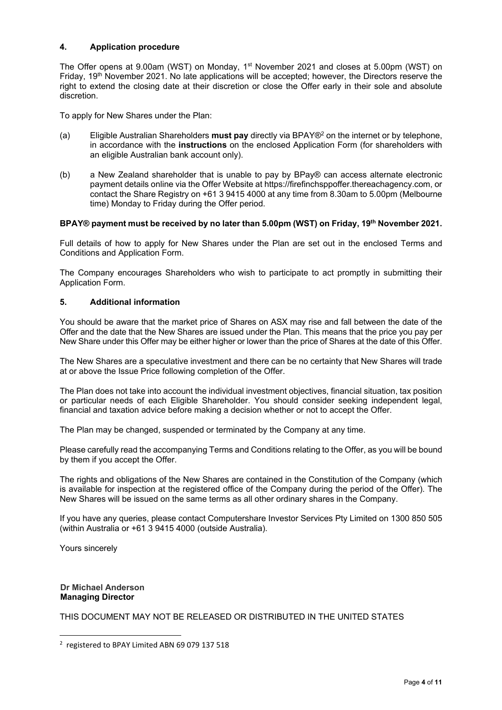# **4. Application procedure**

The Offer opens at 9.00am (WST) on Monday, 1<sup>st</sup> November 2021 and closes at 5.00pm (WST) on Friday, 19th November 2021. No late applications will be accepted; however, the Directors reserve the right to extend the closing date at their discretion or close the Offer early in their sole and absolute discretion.

To apply for New Shares under the Plan:

- (a) Eligible Australian Shareholders **must pay** directly via BPAY®2 on the internet or by telephone, in accordance with the **instructions** on the enclosed Application Form (for shareholders with an eligible Australian bank account only).
- (b) a New Zealand shareholder that is unable to pay by BPay® can access alternate electronic payment details online via the Offer Website at https://firefinchsppoffer.thereachagency.com, or contact the Share Registry on +61 3 9415 4000 at any time from 8.30am to 5.00pm (Melbourne time) Monday to Friday during the Offer period.

### **BPAY® payment must be received by no later than 5.00pm (WST) on Friday, 19th November 2021.**

Full details of how to apply for New Shares under the Plan are set out in the enclosed Terms and Conditions and Application Form.

The Company encourages Shareholders who wish to participate to act promptly in submitting their Application Form.

# **5. Additional information**

You should be aware that the market price of Shares on ASX may rise and fall between the date of the Offer and the date that the New Shares are issued under the Plan. This means that the price you pay per New Share under this Offer may be either higher or lower than the price of Shares at the date of this Offer.

The New Shares are a speculative investment and there can be no certainty that New Shares will trade at or above the Issue Price following completion of the Offer.

The Plan does not take into account the individual investment objectives, financial situation, tax position or particular needs of each Eligible Shareholder. You should consider seeking independent legal, financial and taxation advice before making a decision whether or not to accept the Offer.

The Plan may be changed, suspended or terminated by the Company at any time.

Please carefully read the accompanying Terms and Conditions relating to the Offer, as you will be bound by them if you accept the Offer.

The rights and obligations of the New Shares are contained in the Constitution of the Company (which is available for inspection at the registered office of the Company during the period of the Offer). The New Shares will be issued on the same terms as all other ordinary shares in the Company.

If you have any queries, please contact Computershare Investor Services Pty Limited on 1300 850 505 (within Australia or +61 3 9415 4000 (outside Australia).

Yours sincerely

#### **Dr Michael Anderson Managing Director**

THIS DOCUMENT MAY NOT BE RELEASED OR DISTRIBUTED IN THE UNITED STATES

<sup>&</sup>lt;sup>2</sup> registered to BPAY Limited ABN 69 079 137 518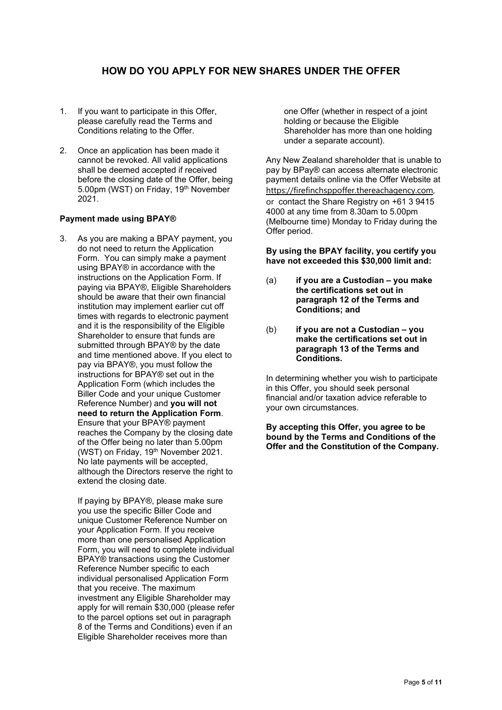# **HOW DO YOU APPLY FOR NEW SHARES UNDER THE OFFER**

- 1. If you want to participate in this Offer, please carefully read the Terms and Conditions relating to the Offer.
- 2. Once an application has been made it cannot be revoked. All valid applications shall be deemed accepted if received before the closing date of the Offer, being 5.00pm (WST) on Friday, 19<sup>th</sup> November 2021.

# **Payment made using BPAY®**

3. As you are making a BPAY payment, you do not need to return the Application Form. You can simply make a payment using BPAY® in accordance with the instructions on the Application Form. If paying via BPAY®, Eligible Shareholders should be aware that their own financial institution may implement earlier cut off times with regards to electronic payment and it is the responsibility of the Eligible Shareholder to ensure that funds are submitted through BPAY® by the date and time mentioned above. If you elect to pay via BPAY®, you must follow the instructions for BPAY® set out in the Application Form (which includes the Biller Code and your unique Customer Reference Number) and **you will not need to return the Application Form**. Ensure that your BPAY® payment reaches the Company by the closing date of the Offer being no later than 5.00pm (WST) on Friday, 19th November 2021. No late payments will be accepted, although the Directors reserve the right to extend the closing date.

If paying by BPAY®, please make sure you use the specific Biller Code and unique Customer Reference Number on your Application Form. If you receive more than one personalised Application Form, you will need to complete individual BPAY® transactions using the Customer Reference Number specific to each individual personalised Application Form that you receive. The maximum investment any Eligible Shareholder may apply for will remain \$30,000 (please refer to the parcel options set out in paragraph 8 of the Terms and Conditions) even if an Eligible Shareholder receives more than

one Offer (whether in respect of a joint holding or because the Eligible Shareholder has more than one holding under a separate account).

Any New Zealand shareholder that is unable to pay by BPay® can access alternate electronic payment details online via the Offer Website at https://firefinchsppoffer.thereachagency.com, or contact the Share Registry on +61 3 9415 4000 at any time from 8.30am to 5.00pm (Melbourne time) Monday to Friday during the Offer period.

**By using the BPAY facility, you certify you have not exceeded this \$30,000 limit and:** 

- (a) **if you are a Custodian you make the certifications set out in paragraph 12 of the Terms and Conditions; and**
- (b) **if you are not a Custodian you make the certifications set out in paragraph 13 of the Terms and Conditions.**

In determining whether you wish to participate in this Offer, you should seek personal financial and/or taxation advice referable to your own circumstances.

**By accepting this Offer, you agree to be bound by the Terms and Conditions of the Offer and the Constitution of the Company.**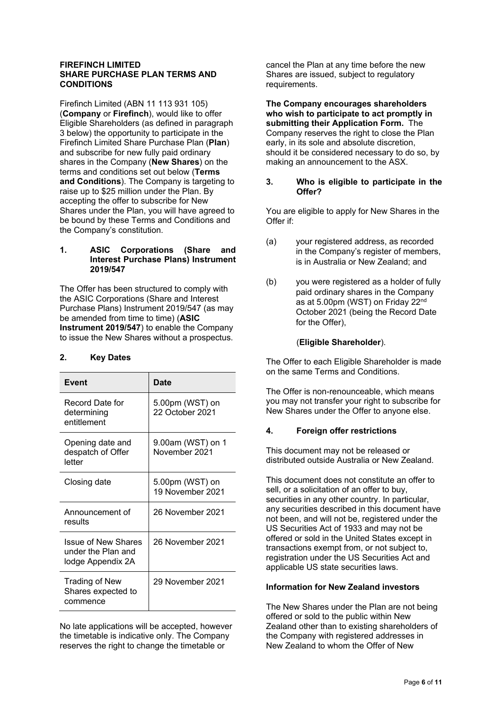#### **FIREFINCH LIMITED SHARE PURCHASE PLAN TERMS AND CONDITIONS**

Firefinch Limited (ABN 11 113 931 105) (**Company** or **Firefinch**), would like to offer Eligible Shareholders (as defined in paragraph 3 below) the opportunity to participate in the Firefinch Limited Share Purchase Plan (**Plan**) and subscribe for new fully paid ordinary shares in the Company (**New Shares**) on the terms and conditions set out below (**Terms and Conditions**). The Company is targeting to raise up to \$25 million under the Plan. By accepting the offer to subscribe for New Shares under the Plan, you will have agreed to be bound by these Terms and Conditions and the Company's constitution.

### **1. ASIC Corporations (Share and Interest Purchase Plans) Instrument 2019/547**

The Offer has been structured to comply with the ASIC Corporations (Share and Interest Purchase Plans) Instrument 2019/547 (as may be amended from time to time) (**ASIC Instrument 2019/547**) to enable the Company to issue the New Shares without a prospectus.

# **2. Key Dates**

| <b>Event</b>                                                   | Date                                |  |
|----------------------------------------------------------------|-------------------------------------|--|
| Record Date for<br>determining<br>entitlement                  | 5.00pm (WST) on<br>22 October 2021  |  |
| Opening date and<br>despatch of Offer<br>letter                | 9.00am (WST) on 1<br>November 2021  |  |
| Closing date                                                   | 5.00pm (WST) on<br>19 November 2021 |  |
| Announcement of<br>results                                     | 26 November 2021                    |  |
| Issue of New Shares<br>under the Plan and<br>lodge Appendix 2A | 26 November 2021                    |  |
| <b>Trading of New</b><br>Shares expected to<br>commence        | 29 November 2021                    |  |

No late applications will be accepted, however the timetable is indicative only. The Company reserves the right to change the timetable or

cancel the Plan at any time before the new Shares are issued, subject to regulatory requirements.

**The Company encourages shareholders who wish to participate to act promptly in submitting their Application Form.** The Company reserves the right to close the Plan early, in its sole and absolute discretion, should it be considered necessary to do so, by making an announcement to the ASX.

# **3. Who is eligible to participate in the Offer?**

You are eligible to apply for New Shares in the Offer if:

- (a) your registered address, as recorded in the Company's register of members, is in Australia or New Zealand; and
- (b) you were registered as a holder of fully paid ordinary shares in the Company as at 5.00pm (WST) on Friday 22nd October 2021 (being the Record Date for the Offer),

# (**Eligible Shareholder**).

The Offer to each Eligible Shareholder is made on the same Terms and Conditions.

The Offer is non-renounceable, which means you may not transfer your right to subscribe for New Shares under the Offer to anyone else.

# **4. Foreign offer restrictions**

This document may not be released or distributed outside Australia or New Zealand.

This document does not constitute an offer to sell, or a solicitation of an offer to buy, securities in any other country. In particular, any securities described in this document have not been, and will not be, registered under the US Securities Act of 1933 and may not be offered or sold in the United States except in transactions exempt from, or not subject to, registration under the US Securities Act and applicable US state securities laws.

# **Information for New Zealand investors**

The New Shares under the Plan are not being offered or sold to the public within New Zealand other than to existing shareholders of the Company with registered addresses in New Zealand to whom the Offer of New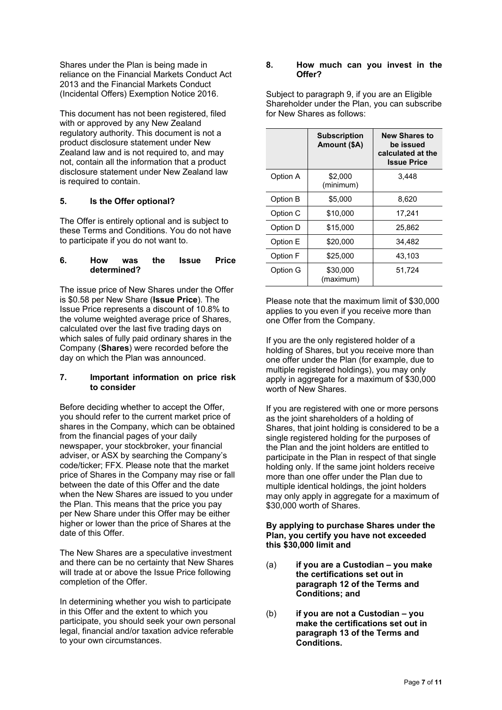Shares under the Plan is being made in reliance on the Financial Markets Conduct Act 2013 and the Financial Markets Conduct (Incidental Offers) Exemption Notice 2016.

This document has not been registered, filed with or approved by any New Zealand regulatory authority. This document is not a product disclosure statement under New Zealand law and is not required to, and may not, contain all the information that a product disclosure statement under New Zealand law is required to contain.

# **5. Is the Offer optional?**

The Offer is entirely optional and is subject to these Terms and Conditions. You do not have to participate if you do not want to.

# **6. How was the Issue Price determined?**

The issue price of New Shares under the Offer is \$0.58 per New Share (**Issue Price**). The Issue Price represents a discount of 10.8% to the volume weighted average price of Shares, calculated over the last five trading days on which sales of fully paid ordinary shares in the Company (**Shares**) were recorded before the day on which the Plan was announced.

# **7. Important information on price risk to consider**

Before deciding whether to accept the Offer, you should refer to the current market price of shares in the Company, which can be obtained from the financial pages of your daily newspaper, your stockbroker, your financial adviser, or ASX by searching the Company's code/ticker; FFX. Please note that the market price of Shares in the Company may rise or fall between the date of this Offer and the date when the New Shares are issued to you under the Plan. This means that the price you pay per New Share under this Offer may be either higher or lower than the price of Shares at the date of this Offer.

The New Shares are a speculative investment and there can be no certainty that New Shares will trade at or above the Issue Price following completion of the Offer.

In determining whether you wish to participate in this Offer and the extent to which you participate, you should seek your own personal legal, financial and/or taxation advice referable to your own circumstances.

#### **8. How much can you invest in the Offer?**

Subject to paragraph 9, if you are an Eligible Shareholder under the Plan, you can subscribe for New Shares as follows:

|          | <b>Subscription</b><br>Amount (\$A) | <b>New Shares to</b><br>be issued<br>calculated at the<br><b>Issue Price</b> |  |
|----------|-------------------------------------|------------------------------------------------------------------------------|--|
| Option A | \$2,000<br>(minimum)                | 3.448                                                                        |  |
| Option B | \$5,000                             | 8,620                                                                        |  |
| Option C | \$10,000                            | 17,241                                                                       |  |
| Option D | \$15,000                            | 25,862                                                                       |  |
| Option E | \$20,000                            | 34,482                                                                       |  |
| Option F | \$25,000                            | 43,103                                                                       |  |
| Option G | \$30,000<br>(maximum)               | 51,724                                                                       |  |

Please note that the maximum limit of \$30,000 applies to you even if you receive more than one Offer from the Company.

If you are the only registered holder of a holding of Shares, but you receive more than one offer under the Plan (for example, due to multiple registered holdings), you may only apply in aggregate for a maximum of \$30,000 worth of New Shares.

If you are registered with one or more persons as the joint shareholders of a holding of Shares, that joint holding is considered to be a single registered holding for the purposes of the Plan and the joint holders are entitled to participate in the Plan in respect of that single holding only. If the same joint holders receive more than one offer under the Plan due to multiple identical holdings, the joint holders may only apply in aggregate for a maximum of \$30,000 worth of Shares.

#### **By applying to purchase Shares under the Plan, you certify you have not exceeded this \$30,000 limit and**

- (a) **if you are a Custodian you make the certifications set out in paragraph 12 of the Terms and Conditions; and**
- (b) **if you are not a Custodian you make the certifications set out in paragraph 13 of the Terms and Conditions.**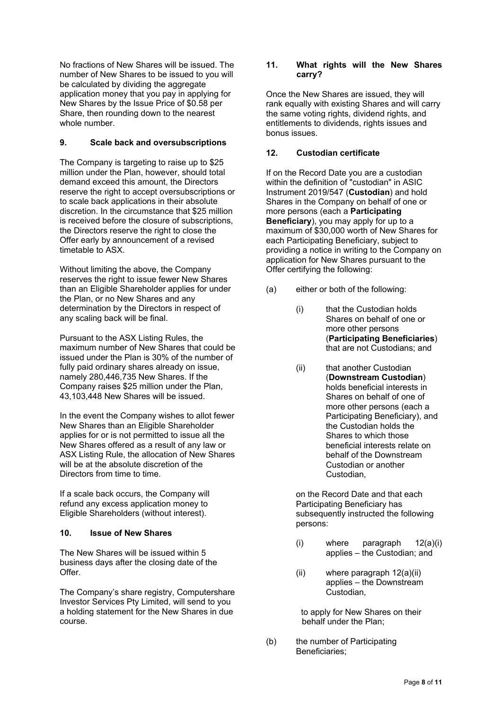No fractions of New Shares will be issued. The number of New Shares to be issued to you will be calculated by dividing the aggregate application money that you pay in applying for New Shares by the Issue Price of \$0.58 per Share, then rounding down to the nearest whole number.

# **9. Scale back and oversubscriptions**

The Company is targeting to raise up to \$25 million under the Plan, however, should total demand exceed this amount, the Directors reserve the right to accept oversubscriptions or to scale back applications in their absolute discretion. In the circumstance that \$25 million is received before the closure of subscriptions, the Directors reserve the right to close the Offer early by announcement of a revised timetable to ASX.

Without limiting the above, the Company reserves the right to issue fewer New Shares than an Eligible Shareholder applies for under the Plan, or no New Shares and any determination by the Directors in respect of any scaling back will be final.

Pursuant to the ASX Listing Rules, the maximum number of New Shares that could be issued under the Plan is 30% of the number of fully paid ordinary shares already on issue, namely 280,446,735 New Shares. If the Company raises \$25 million under the Plan, 43,103,448 New Shares will be issued.

In the event the Company wishes to allot fewer New Shares than an Eligible Shareholder applies for or is not permitted to issue all the New Shares offered as a result of any law or ASX Listing Rule, the allocation of New Shares will be at the absolute discretion of the Directors from time to time.

If a scale back occurs, the Company will refund any excess application money to Eligible Shareholders (without interest).

# **10. Issue of New Shares**

The New Shares will be issued within 5 business days after the closing date of the Offer.

The Company's share registry, Computershare Investor Services Pty Limited, will send to you a holding statement for the New Shares in due course.

# **11. What rights will the New Shares carry?**

Once the New Shares are issued, they will rank equally with existing Shares and will carry the same voting rights, dividend rights, and entitlements to dividends, rights issues and bonus issues.

# **12. Custodian certificate**

If on the Record Date you are a custodian within the definition of "custodian" in ASIC Instrument 2019/547 (**Custodian**) and hold Shares in the Company on behalf of one or more persons (each a **Participating Beneficiary**), you may apply for up to a maximum of \$30,000 worth of New Shares for each Participating Beneficiary, subject to providing a notice in writing to the Company on application for New Shares pursuant to the Offer certifying the following:

- (a) either or both of the following:
	- (i) that the Custodian holds Shares on behalf of one or more other persons (**Participating Beneficiaries**) that are not Custodians; and
	- (ii) that another Custodian (**Downstream Custodian**) holds beneficial interests in Shares on behalf of one of more other persons (each a Participating Beneficiary), and the Custodian holds the Shares to which those beneficial interests relate on behalf of the Downstream Custodian or another Custodian,

on the Record Date and that each Participating Beneficiary has subsequently instructed the following persons:

- (i) where paragraph 12(a)(i) applies – the Custodian; and
- (ii) where paragraph 12(a)(ii) applies – the Downstream Custodian,

to apply for New Shares on their behalf under the Plan;

(b) the number of Participating Beneficiaries;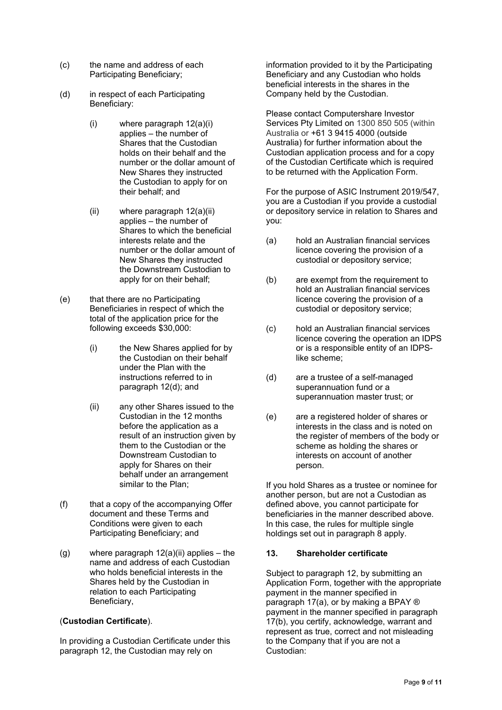- (c) the name and address of each Participating Beneficiary;
- (d) in respect of each Participating Beneficiary:
	- (i) where paragraph 12(a)(i) applies – the number of Shares that the Custodian holds on their behalf and the number or the dollar amount of New Shares they instructed the Custodian to apply for on their behalf; and
	- (ii) where paragraph 12(a)(ii) applies – the number of Shares to which the beneficial interests relate and the number or the dollar amount of New Shares they instructed the Downstream Custodian to apply for on their behalf;
- (e) that there are no Participating Beneficiaries in respect of which the total of the application price for the following exceeds \$30,000:
	- (i) the New Shares applied for by the Custodian on their behalf under the Plan with the instructions referred to in paragraph 12(d); and
	- (ii) any other Shares issued to the Custodian in the 12 months before the application as a result of an instruction given by them to the Custodian or the Downstream Custodian to apply for Shares on their behalf under an arrangement similar to the Plan;
- (f) that a copy of the accompanying Offer document and these Terms and Conditions were given to each Participating Beneficiary; and
- $(q)$  where paragraph  $12(a)(ii)$  applies the name and address of each Custodian who holds beneficial interests in the Shares held by the Custodian in relation to each Participating Beneficiary,

# (**Custodian Certificate**).

In providing a Custodian Certificate under this paragraph 12, the Custodian may rely on

information provided to it by the Participating Beneficiary and any Custodian who holds beneficial interests in the shares in the Company held by the Custodian.

Please contact Computershare Investor Services Pty Limited on 1300 850 505 (within Australia or +61 3 9415 4000 (outside Australia) for further information about the Custodian application process and for a copy of the Custodian Certificate which is required to be returned with the Application Form.

For the purpose of ASIC Instrument 2019/547, you are a Custodian if you provide a custodial or depository service in relation to Shares and you:

- (a) hold an Australian financial services licence covering the provision of a custodial or depository service;
- (b) are exempt from the requirement to hold an Australian financial services licence covering the provision of a custodial or depository service;
- (c) hold an Australian financial services licence covering the operation an IDPS or is a responsible entity of an IDPSlike scheme;
- (d) are a trustee of a self-managed superannuation fund or a superannuation master trust; or
- (e) are a registered holder of shares or interests in the class and is noted on the register of members of the body or scheme as holding the shares or interests on account of another person.

If you hold Shares as a trustee or nominee for another person, but are not a Custodian as defined above, you cannot participate for beneficiaries in the manner described above. In this case, the rules for multiple single holdings set out in paragraph 8 apply.

# **13. Shareholder certificate**

Subject to paragraph 12, by submitting an Application Form, together with the appropriate payment in the manner specified in paragraph 17(a), or by making a BPAY ® payment in the manner specified in paragraph 17(b), you certify, acknowledge, warrant and represent as true, correct and not misleading to the Company that if you are not a Custodian: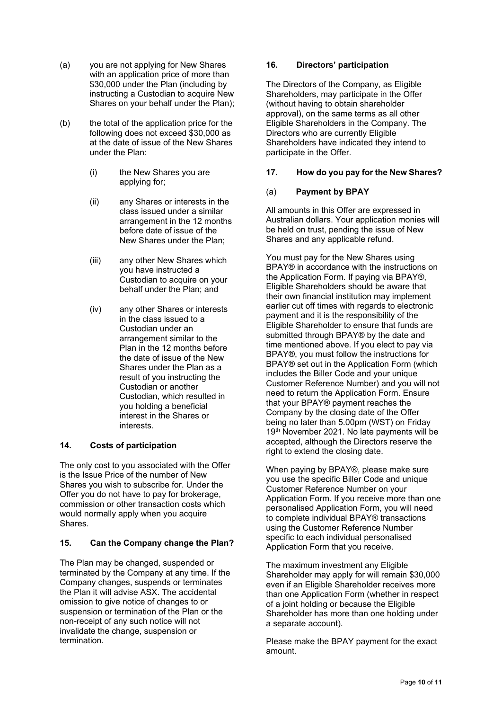- (a) you are not applying for New Shares with an application price of more than \$30,000 under the Plan (including by instructing a Custodian to acquire New Shares on your behalf under the Plan);
- (b) the total of the application price for the following does not exceed \$30,000 as at the date of issue of the New Shares under the Plan:
	- (i) the New Shares you are applying for;
	- (ii) any Shares or interests in the class issued under a similar arrangement in the 12 months before date of issue of the New Shares under the Plan;
	- (iii) any other New Shares which you have instructed a Custodian to acquire on your behalf under the Plan; and
	- (iv) any other Shares or interests in the class issued to a Custodian under an arrangement similar to the Plan in the 12 months before the date of issue of the New Shares under the Plan as a result of you instructing the Custodian or another Custodian, which resulted in you holding a beneficial interest in the Shares or interests.

# **14. Costs of participation**

The only cost to you associated with the Offer is the Issue Price of the number of New Shares you wish to subscribe for. Under the Offer you do not have to pay for brokerage, commission or other transaction costs which would normally apply when you acquire Shares.

# **15. Can the Company change the Plan?**

The Plan may be changed, suspended or terminated by the Company at any time. If the Company changes, suspends or terminates the Plan it will advise ASX. The accidental omission to give notice of changes to or suspension or termination of the Plan or the non-receipt of any such notice will not invalidate the change, suspension or termination.

# **16. Directors' participation**

The Directors of the Company, as Eligible Shareholders, may participate in the Offer (without having to obtain shareholder approval), on the same terms as all other Eligible Shareholders in the Company. The Directors who are currently Eligible Shareholders have indicated they intend to participate in the Offer.

# **17. How do you pay for the New Shares?**

# (a) **Payment by BPAY**

All amounts in this Offer are expressed in Australian dollars. Your application monies will be held on trust, pending the issue of New Shares and any applicable refund.

You must pay for the New Shares using BPAY® in accordance with the instructions on the Application Form. If paying via BPAY®, Eligible Shareholders should be aware that their own financial institution may implement earlier cut off times with regards to electronic payment and it is the responsibility of the Eligible Shareholder to ensure that funds are submitted through BPAY® by the date and time mentioned above. If you elect to pay via BPAY®, you must follow the instructions for BPAY® set out in the Application Form (which includes the Biller Code and your unique Customer Reference Number) and you will not need to return the Application Form. Ensure that your BPAY® payment reaches the Company by the closing date of the Offer being no later than 5.00pm (WST) on Friday 19<sup>th</sup> November 2021. No late payments will be accepted, although the Directors reserve the right to extend the closing date.

When paying by BPAY®, please make sure you use the specific Biller Code and unique Customer Reference Number on your Application Form. If you receive more than one personalised Application Form, you will need to complete individual BPAY® transactions using the Customer Reference Number specific to each individual personalised Application Form that you receive.

The maximum investment any Eligible Shareholder may apply for will remain \$30,000 even if an Eligible Shareholder receives more than one Application Form (whether in respect of a joint holding or because the Eligible Shareholder has more than one holding under a separate account).

Please make the BPAY payment for the exact amount.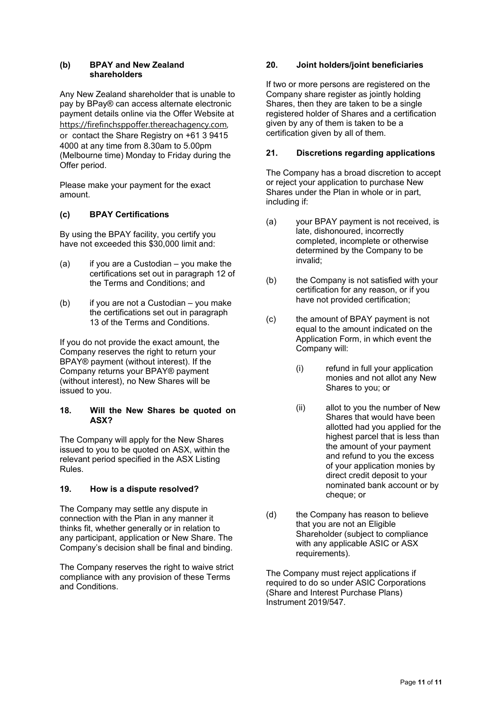#### **(b) BPAY and New Zealand shareholders**

Any New Zealand shareholder that is unable to pay by BPay® can access alternate electronic payment details online via the Offer Website at https://firefinchsppoffer.thereachagency.com, or contact the Share Registry on +61 3 9415 4000 at any time from 8.30am to 5.00pm (Melbourne time) Monday to Friday during the Offer period.

Please make your payment for the exact amount.

# **(c) BPAY Certifications**

By using the BPAY facility, you certify you have not exceeded this \$30,000 limit and:

- $(a)$  if you are a Custodian you make the certifications set out in paragraph 12 of the Terms and Conditions; and
- (b) if you are not a Custodian you make the certifications set out in paragraph 13 of the Terms and Conditions.

If you do not provide the exact amount, the Company reserves the right to return your BPAY® payment (without interest). If the Company returns your BPAY® payment (without interest), no New Shares will be issued to you.

### **18. Will the New Shares be quoted on ASX?**

The Company will apply for the New Shares issued to you to be quoted on ASX, within the relevant period specified in the ASX Listing Rules.

# **19. How is a dispute resolved?**

The Company may settle any dispute in connection with the Plan in any manner it thinks fit, whether generally or in relation to any participant, application or New Share. The Company's decision shall be final and binding.

The Company reserves the right to waive strict compliance with any provision of these Terms and Conditions. The Company reserves the right to waive strict<br>
compliance with any provision of these Terms<br>
and Conditions.<br>
The Company must required to do so und<br>
(Share and Interest P<br>
Instrument 2019/547.

# **20. Joint holders/joint beneficiaries**

If two or more persons are registered on the Company share register as jointly holding Shares, then they are taken to be a single registered holder of Shares and a certification given by any of them is taken to be a certification given by all of them.

# **21. Discretions regarding applications**

The Company has a broad discretion to accept or reject your application to purchase New Shares under the Plan in whole or in part, including if:

- (a) your BPAY payment is not received, is late, dishonoured, incorrectly completed, incomplete or otherwise determined by the Company to be invalid;
- (b) the Company is not satisfied with your certification for any reason, or if you have not provided certification;
- (c) the amount of BPAY payment is not equal to the amount indicated on the Application Form, in which event the Company will:
	- (i) refund in full your application monies and not allot any New Shares to you; or
	- (ii) allot to you the number of New Shares that would have been allotted had you applied for the highest parcel that is less than the amount of your payment and refund to you the excess of your application monies by direct credit deposit to your nominated bank account or by cheque; or
- (d) the Company has reason to believe that you are not an Eligible Shareholder (subject to compliance with any applicable ASIC or ASX requirements).

The Company must reject applications if required to do so under ASIC Corporations (Share and Interest Purchase Plans)<br>Instrument 2019/547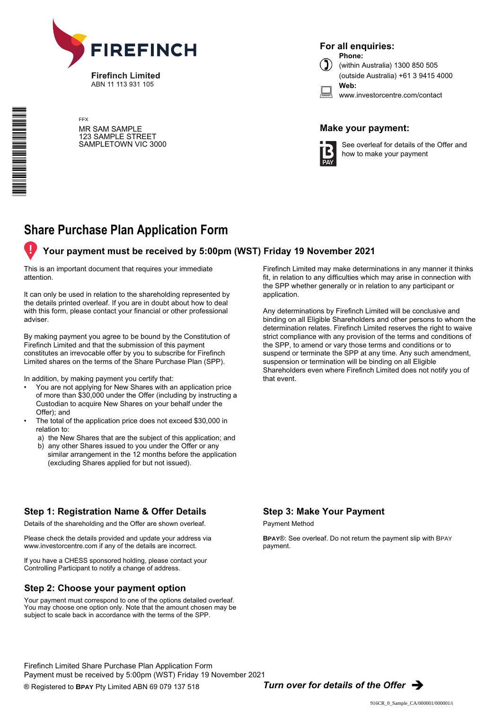

ABN 11 113 931 105

\*S000001Q01\*

FFX MR SAM SAMPLE 123 SAMPLE STREET SAMPLETOWN VIC 3000

**Phone: For all enquiries:**



(within Australia) 1300 850 505 (outside Australia) +61 3 9415 4000 **Web:**

| www.investorcentre.com/contact |
|--------------------------------|
|                                |

# **Make your payment:**



See overleaf for details of the Offer and how to make your payment

# **Share Purchase Plan Application Form**

# **Your payment must be received by 5:00pm (WST) Friday 19 November 2021**

This is an important document that requires your immediate attention.

It can only be used in relation to the shareholding represented by the details printed overleaf. If you are in doubt about how to deal with this form, please contact your financial or other professional adviser.

By making payment you agree to be bound by the Constitution of Firefinch Limited and that the submission of this payment constitutes an irrevocable offer by you to subscribe for Firefinch Limited shares on the terms of the Share Purchase Plan (SPP).

In addition, by making payment you certify that:

- You are not applying for New Shares with an application price of more than \$30,000 under the Offer (including by instructing a Custodian to acquire New Shares on your behalf under the Offer); and
- The total of the application price does not exceed \$30,000 in relation to:
	- a) the New Shares that are the subject of this application; and
	- b) any other Shares issued to you under the Offer or any similar arrangement in the 12 months before the application (excluding Shares applied for but not issued).

Firefinch Limited may make determinations in any manner it thinks fit, in relation to any difficulties which may arise in connection with the SPP whether generally or in relation to any participant or application.

Any determinations by Firefinch Limited will be conclusive and binding on all Eligible Shareholders and other persons to whom the determination relates. Firefinch Limited reserves the right to waive strict compliance with any provision of the terms and conditions of the SPP, to amend or vary those terms and conditions or to suspend or terminate the SPP at any time. Any such amendment, suspension or termination will be binding on all Eligible Shareholders even where Firefinch Limited does not notify you of that event.

# **Step 1: Registration Name & Offer Details**

Details of the shareholding and the Offer are shown overleaf.

Please check the details provided and update your address via www.investorcentre.com if any of the details are incorrect.

If you have a CHESS sponsored holding, please contact your Controlling Participant to notify a change of address. ׇ֖֖֖֪֪֪ׅ֚֚֚֚֚֚֬֝֬֝֬֝֓֕֓֡֬֝֬֝֬֝֬֝֬֝֬֝֬֝֬֝֬֝֓֝֬֝֬

# **Step 2: Choose your payment option**

Your payment must correspond to one of the options detailed overleaf. You may choose one option only. Note that the amount chosen may be subject to scale back in accordance with the terms of the SPP.

# **Step 3: Make Your Payment**

Payment Method

**BPAY**®: See overleaf. Do not return the payment slip with BPAY payment.

Firefinch Limited Share Purchase Plan Application Form Payment must be received by 5:00pm (WST) Friday 19 November 2021

® Registered to **BPAY** Pty Limited ABN 69 079 137 518 *Turn over for details of the Offer* è